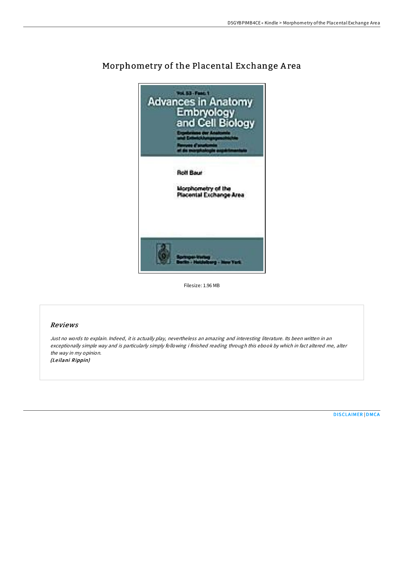

# Morphometry of the Placental Exchange A rea

Filesize: 1.96 MB

# Reviews

Just no words to explain. Indeed, it is actually play, nevertheless an amazing and interesting literature. Its been written in an exceptionally simple way and is particularly simply following i finished reading through this ebook by which in fact altered me, alter the way in my opinion. (Le ilani Rippin)

[DISCLAIMER](http://almighty24.tech/disclaimer.html) | [DMCA](http://almighty24.tech/dmca.html)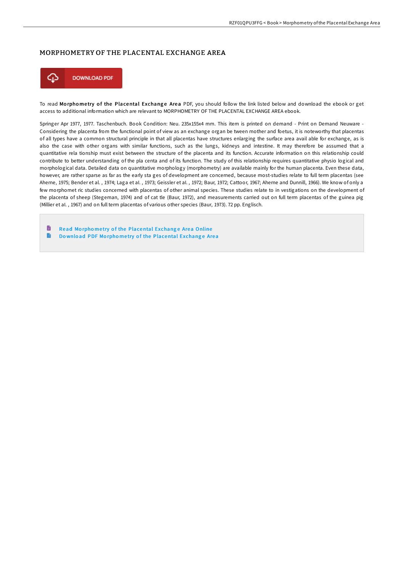### MORPHOMETRY OF THE PLACENTAL EXCHANGE AREA



To read Morphometry of the Placental Exchange Area PDF, you should follow the link listed below and download the ebook or get access to additional information which are relevant to MORPHOMETRY OF THE PLACENTAL EXCHANGE AREA ebook.

Springer Apr 1977, 1977. Taschenbuch. Book Condition: Neu. 235x155x4 mm. This item is printed on demand - Print on Demand Neuware - Considering the placenta from the functional point of view as an exchange organ be tween mother and foetus, it is noteworthy that placentas of all types have a common structural principle in that all placentas have structures enlarging the surface area avail able for exchange, as is also the case with other organs with similar functions, such as the lungs, kidneys and intestine. It may therefore be assumed that a quantitative rela tionship must exist between the structure of the placenta and its function. Accurate information on this relationship could contribute to better understanding of the pla centa and of its function. The study of this relationship requires quantitative physio logical and morphological data. Detailed data on quantitative morphology (morphometry) are available mainly for the human placenta. Even these data, however, are rather sparse as far as the early sta ges of development are concerned, because most-studies relate to full term placentas (see Aherne, 1975; Bender et al. , 1974; Laga et aI. , 1973; Geissler et aI. , 1972; Baur, 1972; Cattoor, 1967; Aherne and Dunnill, 1966). We know of only a few morphomet ric studies concerned with placentas of other animal species. These studies relate to in vestigations on the development of the placenta of sheep (Stegeman, 1974) and of cat tle (Baur, 1972), and measurements carried out on full term placentas of the guinea pig (Millier et aI. , 1967) and on full term placentas of various other species (Baur, 1973). 72 pp. Englisch.

B Read Morphometry of the [Placental](http://almighty24.tech/morphometry-of-the-placental-exchange-area.html) Exchange Area Online  $\rightarrow$ Do wnload PDF Morphometry of the [Placental](http://almighty24.tech/morphometry-of-the-placental-exchange-area.html) Exchange Area